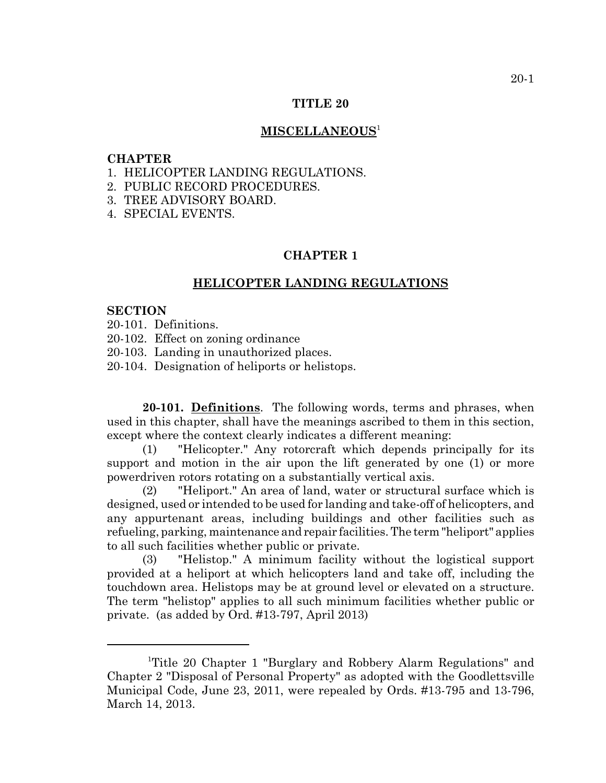### **TITLE 20**

### **MISCELLANEOUS**<sup>1</sup>

#### **CHAPTER**

- 1. HELICOPTER LANDING REGULATIONS.
- 2. PUBLIC RECORD PROCEDURES.
- 3. TREE ADVISORY BOARD.
- 4. SPECIAL EVENTS.

# **CHAPTER 1**

# **HELICOPTER LANDING REGULATIONS**

#### **SECTION**

- 20-101. Definitions.
- 20-102. Effect on zoning ordinance
- 20-103. Landing in unauthorized places.
- 20-104. Designation of heliports or helistops.

**20-101. Definitions**. The following words, terms and phrases, when used in this chapter, shall have the meanings ascribed to them in this section, except where the context clearly indicates a different meaning:

(1) "Helicopter." Any rotorcraft which depends principally for its support and motion in the air upon the lift generated by one (1) or more powerdriven rotors rotating on a substantially vertical axis.

(2) "Heliport." An area of land, water or structural surface which is designed, used or intended to be used for landing and take-off of helicopters, and any appurtenant areas, including buildings and other facilities such as refueling, parking, maintenance and repair facilities. The term "heliport" applies to all such facilities whether public or private.

(3) "Helistop." A minimum facility without the logistical support provided at a heliport at which helicopters land and take off, including the touchdown area. Helistops may be at ground level or elevated on a structure. The term "helistop" applies to all such minimum facilities whether public or private. (as added by Ord. #13-797, April 2013)

<sup>1</sup> Title 20 Chapter 1 "Burglary and Robbery Alarm Regulations" and Chapter 2 "Disposal of Personal Property" as adopted with the Goodlettsville Municipal Code, June 23, 2011, were repealed by Ords. #13-795 and 13-796, March 14, 2013.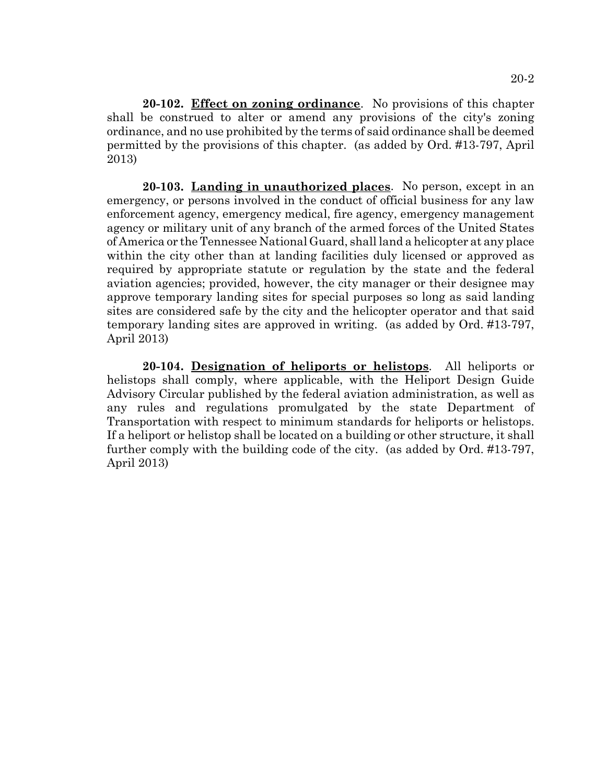**20-102. Effect on zoning ordinance**. No provisions of this chapter shall be construed to alter or amend any provisions of the city's zoning ordinance, and no use prohibited by the terms of said ordinance shall be deemed permitted by the provisions of this chapter. (as added by Ord. #13-797, April 2013)

**20-103. Landing in unauthorized places**. No person, except in an emergency, or persons involved in the conduct of official business for any law enforcement agency, emergency medical, fire agency, emergency management agency or military unit of any branch of the armed forces of the United States of America or the Tennessee National Guard, shall land a helicopter at any place within the city other than at landing facilities duly licensed or approved as required by appropriate statute or regulation by the state and the federal aviation agencies; provided, however, the city manager or their designee may approve temporary landing sites for special purposes so long as said landing sites are considered safe by the city and the helicopter operator and that said temporary landing sites are approved in writing. (as added by Ord. #13-797, April 2013)

**20-104. Designation of heliports or helistops**. All heliports or helistops shall comply, where applicable, with the Heliport Design Guide Advisory Circular published by the federal aviation administration, as well as any rules and regulations promulgated by the state Department of Transportation with respect to minimum standards for heliports or helistops. If a heliport or helistop shall be located on a building or other structure, it shall further comply with the building code of the city. (as added by Ord. #13-797, April 2013)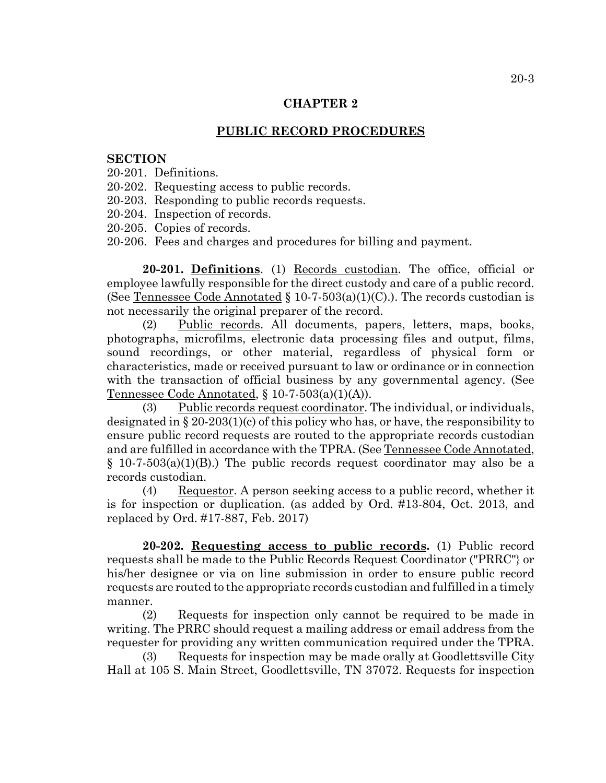# **CHAPTER 2**

### **PUBLIC RECORD PROCEDURES**

#### **SECTION**

- 20-201. Definitions.
- 20-202. Requesting access to public records.
- 20-203. Responding to public records requests.
- 20-204. Inspection of records.
- 20-205. Copies of records.
- 20-206. Fees and charges and procedures for billing and payment.

20-201. Definitions. (1) Records custodian. The office, official or employee lawfully responsible for the direct custody and care of a public record. (See Tennessee Code Annotated  $\S$  10-7-503(a)(1)(C).). The records custodian is not necessarily the original preparer of the record.

(2) Public records. All documents, papers, letters, maps, books, photographs, microfilms, electronic data processing files and output, films, sound recordings, or other material, regardless of physical form or characteristics, made or received pursuant to law or ordinance or in connection with the transaction of official business by any governmental agency. (See Tennessee Code Annotated,  $\S 10-7-503(a)(1)(A)$ .

(3) Public records request coordinator. The individual, or individuals, designated in  $\S 20-203(1)(c)$  of this policy who has, or have, the responsibility to ensure public record requests are routed to the appropriate records custodian and are fulfilled in accordance with the TPRA. (See Tennessee Code Annotated,  $§$  10-7-503(a)(1)(B).) The public records request coordinator may also be a records custodian.

(4) Requestor. A person seeking access to a public record, whether it is for inspection or duplication. (as added by Ord. #13-804, Oct. 2013, and replaced by Ord. #17-887, Feb. 2017)

**20-202. Requesting access to public records.** (1) Public record requests shall be made to the Public Records Request Coordinator ("PRRC"} or his/her designee or via on line submission in order to ensure public record requests are routed to the appropriate records custodian and fulfilled in a timely manner.

(2) Requests for inspection only cannot be required to be made in writing. The PRRC should request a mailing address or email address from the requester for providing any written communication required under the TPRA.

(3) Requests for inspection may be made orally at Goodlettsville City Hall at 105 S. Main Street, Goodlettsville, TN 37072. Requests for inspection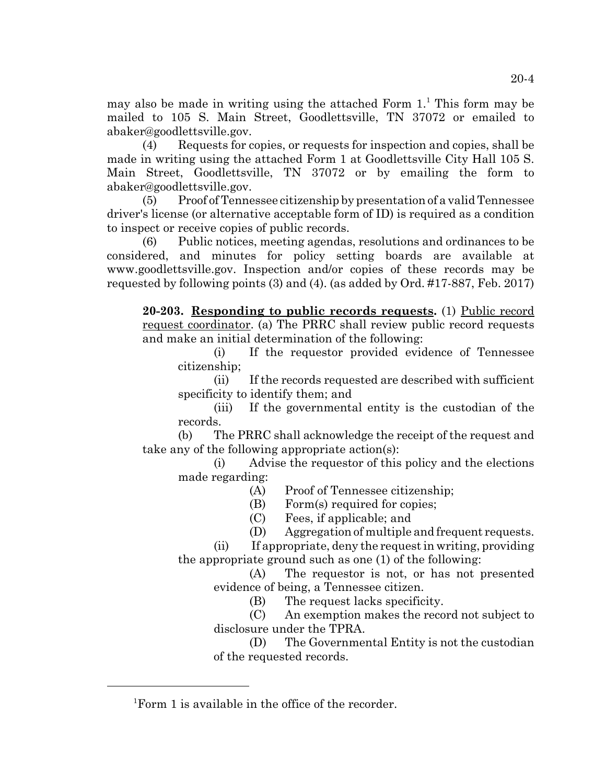may also be made in writing using the attached Form  $1<sup>1</sup>$ . This form may be mailed to 105 S. Main Street, Goodlettsville, TN 37072 or emailed to abaker@goodlettsville.gov.

(4) Requests for copies, or requests for inspection and copies, shall be made in writing using the attached Form 1 at Goodlettsville City Hall 105 S. Main Street, Goodlettsville, TN 37072 or by emailing the form to abaker@goodlettsville.gov.

(5) Proof of Tennessee citizenship by presentation of a valid Tennessee driver's license (or alternative acceptable form of ID) is required as a condition to inspect or receive copies of public records.

(6) Public notices, meeting agendas, resolutions and ordinances to be considered, and minutes for policy setting boards are available at www.goodlettsville.gov. Inspection and/or copies of these records may be requested by following points (3) and (4). (as added by Ord. #17-887, Feb. 2017)

**20-203. Responding to public records requests.** (1) Public record request coordinator. (a) The PRRC shall review public record requests and make an initial determination of the following:

(i) If the requestor provided evidence of Tennessee citizenship;

(ii) If the records requested are described with sufficient specificity to identify them; and

(iii) If the governmental entity is the custodian of the records.

(b) The PRRC shall acknowledge the receipt of the request and take any of the following appropriate action(s):

(i) Advise the requestor of this policy and the elections made regarding:

(A) Proof of Tennessee citizenship;

(B) Form(s) required for copies;

(C) Fees, if applicable; and

(D) Aggregation of multiple and frequent requests.

(ii) If appropriate, deny the request in writing, providing the appropriate ground such as one (1) of the following:

(A) The requestor is not, or has not presented evidence of being, a Tennessee citizen.

(B) The request lacks specificity.

(C) An exemption makes the record not subject to disclosure under the TPRA.

(D) The Governmental Entity is not the custodian of the requested records.

<sup>&</sup>lt;sup>1</sup>Form 1 is available in the office of the recorder.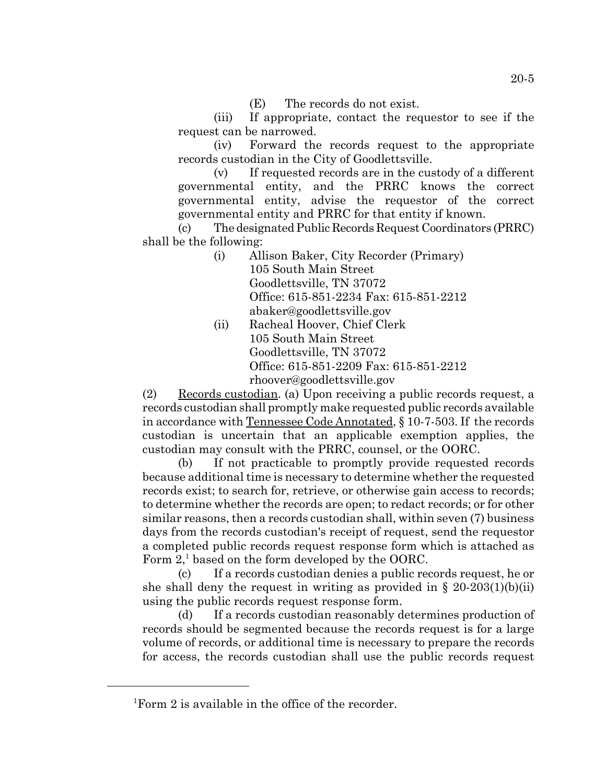(E) The records do not exist.

(iii) If appropriate, contact the requestor to see if the request can be narrowed.

(iv) Forward the records request to the appropriate records custodian in the City of Goodlettsville.

(v) If requested records are in the custody of a different governmental entity, and the PRRC knows the correct governmental entity, advise the requestor of the correct governmental entity and PRRC for that entity if known.

(c) The designated Public Records Request Coordinators (PRRC) shall be the following:

- (i) Allison Baker, City Recorder (Primary) 105 South Main Street Goodlettsville, TN 37072 Office: 615-851-2234 Fax: 615-851-2212 abaker@goodlettsville.gov
- (ii) Racheal Hoover, Chief Clerk 105 South Main Street Goodlettsville, TN 37072 Office: 615-851-2209 Fax: 615-851-2212 rhoover@goodlettsville.gov

(2) Records custodian. (a) Upon receiving a public records request, a records custodian shall promptly make requested public records available in accordance with Tennessee Code Annotated, § 10-7-503. If the records custodian is uncertain that an applicable exemption applies, the custodian may consult with the PRRC, counsel, or the OORC.

(b) If not practicable to promptly provide requested records because additional time is necessary to determine whether the requested records exist; to search for, retrieve, or otherwise gain access to records; to determine whether the records are open; to redact records; or for other similar reasons, then a records custodian shall, within seven (7) business days from the records custodian's receipt of request, send the requestor a completed public records request response form which is attached as Form  $2$ ,<sup>1</sup> based on the form developed by the OORC.

(c) If a records custodian denies a public records request, he or she shall deny the request in writing as provided in  $\S 20-203(1)(b)(ii)$ using the public records request response form.

(d) If a records custodian reasonably determines production of records should be segmented because the records request is for a large volume of records, or additional time is necessary to prepare the records for access, the records custodian shall use the public records request

<sup>&</sup>lt;sup>1</sup>Form 2 is available in the office of the recorder.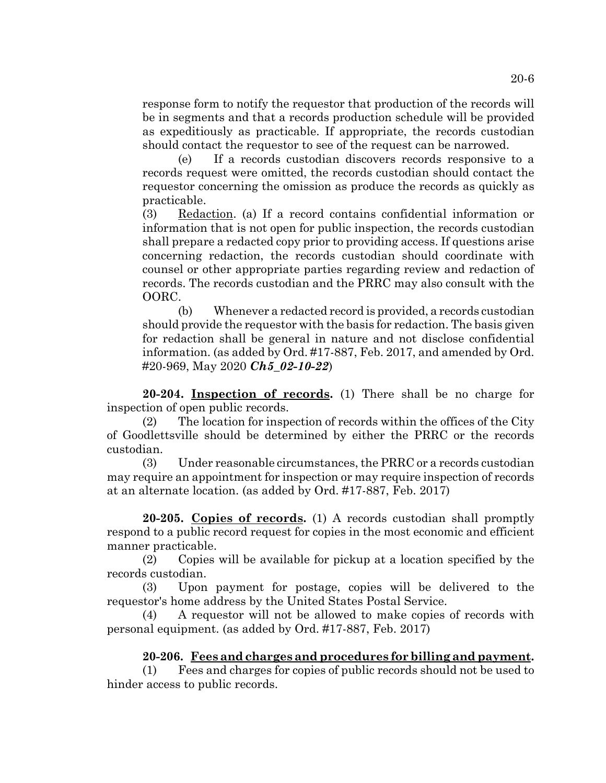response form to notify the requestor that production of the records will be in segments and that a records production schedule will be provided as expeditiously as practicable. If appropriate, the records custodian should contact the requestor to see of the request can be narrowed.

(e) If a records custodian discovers records responsive to a records request were omitted, the records custodian should contact the requestor concerning the omission as produce the records as quickly as practicable.

(3) Redaction. (a) If a record contains confidential information or information that is not open for public inspection, the records custodian shall prepare a redacted copy prior to providing access. If questions arise concerning redaction, the records custodian should coordinate with counsel or other appropriate parties regarding review and redaction of records. The records custodian and the PRRC may also consult with the OORC.

(b) Whenever a redacted record is provided, a records custodian should provide the requestor with the basis for redaction. The basis given for redaction shall be general in nature and not disclose confidential information. (as added by Ord. #17-887, Feb. 2017, and amended by Ord. #20-969, May 2020 *Ch5\_02-10-22*)

**20-204. Inspection of records.** (1) There shall be no charge for inspection of open public records.

(2) The location for inspection of records within the offices of the City of Goodlettsville should be determined by either the PRRC or the records custodian.

(3) Under reasonable circumstances, the PRRC or a records custodian may require an appointment for inspection or may require inspection of records at an alternate location. (as added by Ord. #17-887, Feb. 2017)

**20-205. Copies of records.** (1) A records custodian shall promptly respond to a public record request for copies in the most economic and efficient manner practicable.

(2) Copies will be available for pickup at a location specified by the records custodian.

(3) Upon payment for postage, copies will be delivered to the requestor's home address by the United States Postal Service.

(4) A requestor will not be allowed to make copies of records with personal equipment. (as added by Ord. #17-887, Feb. 2017)

# **20-206. Fees and charges and procedures for billing and payment.**

(1) Fees and charges for copies of public records should not be used to hinder access to public records.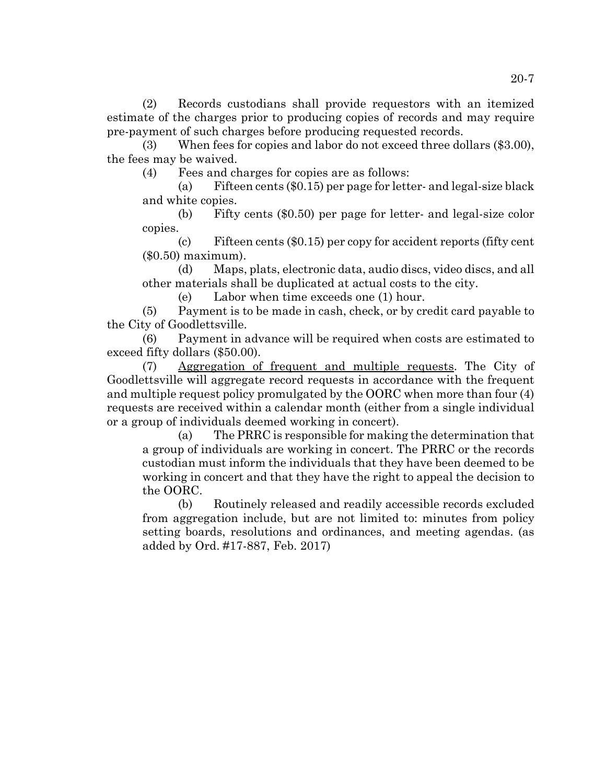(2) Records custodians shall provide requestors with an itemized estimate of the charges prior to producing copies of records and may require pre-payment of such charges before producing requested records.

(3) When fees for copies and labor do not exceed three dollars (\$3.00), the fees may be waived.

(4) Fees and charges for copies are as follows:

(a) Fifteen cents (\$0.15) per page for letter- and legal-size black and white copies.

(b) Fifty cents (\$0.50) per page for letter- and legal-size color copies.

(c) Fifteen cents (\$0.15) per copy for accident reports (fifty cent (\$0.50) maximum).

(d) Maps, plats, electronic data, audio discs, video discs, and all other materials shall be duplicated at actual costs to the city.

(e) Labor when time exceeds one (1) hour.

(5) Payment is to be made in cash, check, or by credit card payable to the City of Goodlettsville.

(6) Payment in advance will be required when costs are estimated to exceed fifty dollars (\$50.00).

(7) Aggregation of frequent and multiple requests. The City of Goodlettsville will aggregate record requests in accordance with the frequent and multiple request policy promulgated by the OORC when more than four (4) requests are received within a calendar month (either from a single individual or a group of individuals deemed working in concert).

(a) The PRRC is responsible for making the determination that a group of individuals are working in concert. The PRRC or the records custodian must inform the individuals that they have been deemed to be working in concert and that they have the right to appeal the decision to the OORC.

(b) Routinely released and readily accessible records excluded from aggregation include, but are not limited to: minutes from policy setting boards, resolutions and ordinances, and meeting agendas. (as added by Ord. #17-887, Feb. 2017)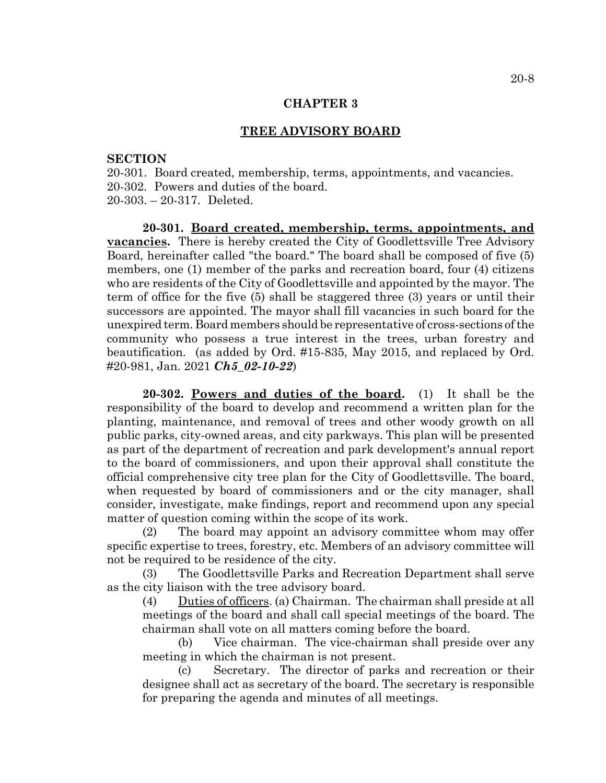### **CHAPTER 3**

### **TREE ADVISORY BOARD**

### **SECTION**

20-301. Board created, membership, terms, appointments, and vacancies. 20-302. Powers and duties of the board. 20-303. – 20-317. Deleted.

**20-301. Board created, membership, terms, appointments, and vacancies.** There is hereby created the City of Goodlettsville Tree Advisory Board, hereinafter called "the board." The board shall be composed of five (5) members, one (1) member of the parks and recreation board, four (4) citizens who are residents of the City of Goodlettsville and appointed by the mayor. The term of office for the five (5) shall be staggered three (3) years or until their successors are appointed. The mayor shall fill vacancies in such board for the unexpired term. Board members should be representative of cross-sections of the community who possess a true interest in the trees, urban forestry and beautification. (as added by Ord. #15-835, May 2015, and replaced by Ord. #20-981, Jan. 2021 *Ch5\_02-10-22*)

**20-302. Powers and duties of the board.** (1) It shall be the responsibility of the board to develop and recommend a written plan for the planting, maintenance, and removal of trees and other woody growth on all public parks, city-owned areas, and city parkways. This plan will be presented as part of the department of recreation and park development's annual report to the board of commissioners, and upon their approval shall constitute the official comprehensive city tree plan for the City of Goodlettsville. The board, when requested by board of commissioners and or the city manager, shall consider, investigate, make findings, report and recommend upon any special matter of question coming within the scope of its work.

(2) The board may appoint an advisory committee whom may offer specific expertise to trees, forestry, etc. Members of an advisory committee will not be required to be residence of the city.

(3) The Goodlettsville Parks and Recreation Department shall serve as the city liaison with the tree advisory board.

(4) Duties of officers. (a) Chairman. The chairman shall preside at all meetings of the board and shall call special meetings of the board. The chairman shall vote on all matters coming before the board.

(b) Vice chairman. The vice-chairman shall preside over any meeting in which the chairman is not present.

(c) Secretary. The director of parks and recreation or their designee shall act as secretary of the board. The secretary is responsible for preparing the agenda and minutes of all meetings.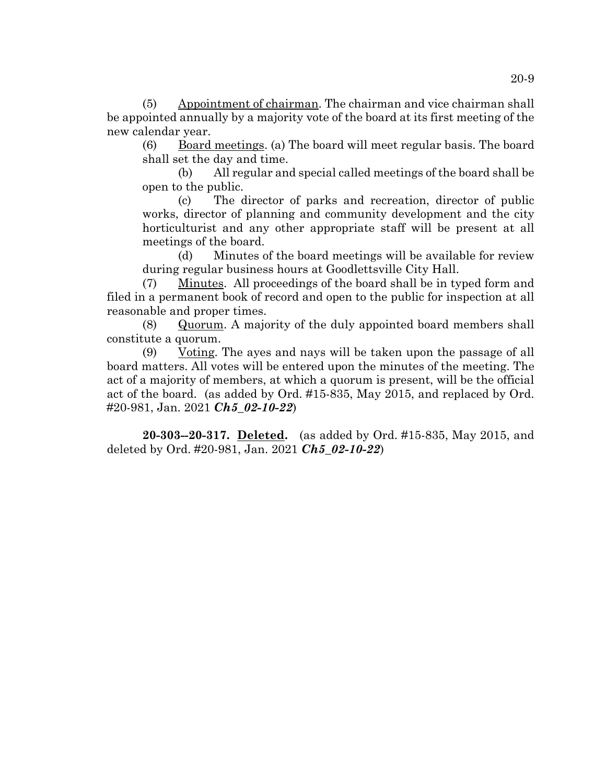(5) Appointment of chairman. The chairman and vice chairman shall be appointed annually by a majority vote of the board at its first meeting of the new calendar year.

(6) Board meetings. (a) The board will meet regular basis. The board shall set the day and time.

(b) All regular and special called meetings of the board shall be open to the public.

(c) The director of parks and recreation, director of public works, director of planning and community development and the city horticulturist and any other appropriate staff will be present at all meetings of the board.

(d) Minutes of the board meetings will be available for review during regular business hours at Goodlettsville City Hall.

(7) Minutes. All proceedings of the board shall be in typed form and filed in a permanent book of record and open to the public for inspection at all reasonable and proper times.

(8) Quorum. A majority of the duly appointed board members shall constitute a quorum.

 $(9)$  Voting. The ayes and nays will be taken upon the passage of all board matters. All votes will be entered upon the minutes of the meeting. The act of a majority of members, at which a quorum is present, will be the official act of the board. (as added by Ord. #15-835, May 2015, and replaced by Ord. #20-981, Jan. 2021 *Ch5\_02-10-22*)

**20-303--20-317. Deleted.** (as added by Ord. #15-835, May 2015, and deleted by Ord. #20-981, Jan. 2021 *Ch5\_02-10-22*)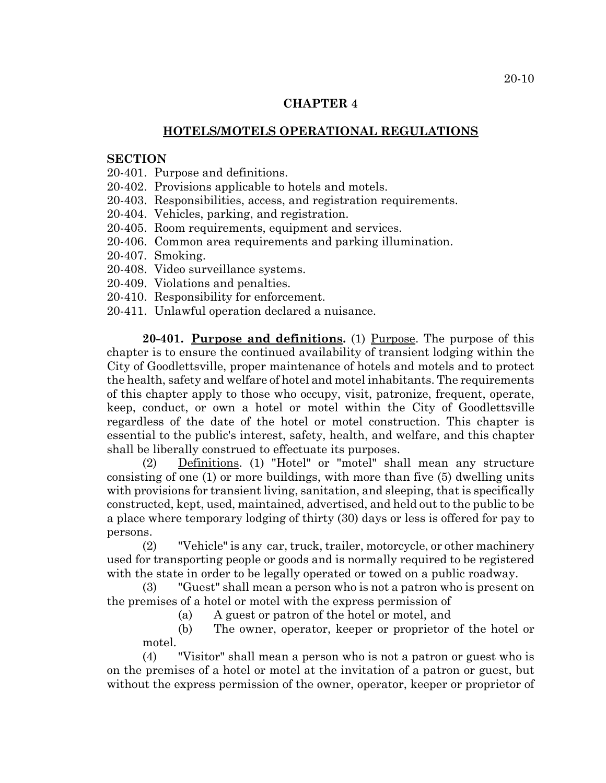# **CHAPTER 4**

# **HOTELS/MOTELS OPERATIONAL REGULATIONS**

### **SECTION**

20-401. Purpose and definitions.

- 20-402. Provisions applicable to hotels and motels.
- 20-403. Responsibilities, access, and registration requirements.
- 20-404. Vehicles, parking, and registration.
- 20-405. Room requirements, equipment and services.
- 20-406. Common area requirements and parking illumination.
- 20-407. Smoking.
- 20-408. Video surveillance systems.
- 20-409. Violations and penalties.
- 20-410. Responsibility for enforcement.
- 20-411. Unlawful operation declared a nuisance.

**20-401. Purpose and definitions.** (1) Purpose. The purpose of this chapter is to ensure the continued availability of transient lodging within the City of Goodlettsville, proper maintenance of hotels and motels and to protect the health, safety and welfare of hotel and motel inhabitants. The requirements of this chapter apply to those who occupy, visit, patronize, frequent, operate, keep, conduct, or own a hotel or motel within the City of Goodlettsville regardless of the date of the hotel or motel construction. This chapter is essential to the public's interest, safety, health, and welfare, and this chapter shall be liberally construed to effectuate its purposes.

(2) Definitions. (1) "Hotel" or "motel" shall mean any structure consisting of one (1) or more buildings, with more than five (5) dwelling units with provisions for transient living, sanitation, and sleeping, that is specifically constructed, kept, used, maintained, advertised, and held out to the public to be a place where temporary lodging of thirty (30) days or less is offered for pay to persons.

(2) "Vehicle" is any car, truck, trailer, motorcycle, or other machinery used for transporting people or goods and is normally required to be registered with the state in order to be legally operated or towed on a public roadway.

(3) "Guest" shall mean a person who is not a patron who is present on the premises of a hotel or motel with the express permission of

(a) A guest or patron of the hotel or motel, and

(b) The owner, operator, keeper or proprietor of the hotel or motel.

(4) "Visitor" shall mean a person who is not a patron or guest who is on the premises of a hotel or motel at the invitation of a patron or guest, but without the express permission of the owner, operator, keeper or proprietor of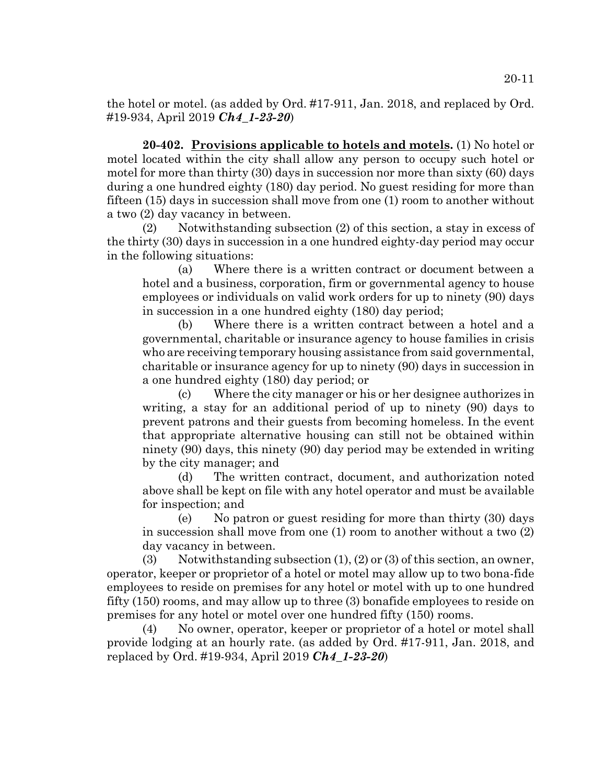the hotel or motel. (as added by Ord. #17-911, Jan. 2018, and replaced by Ord. #19-934, April 2019 *Ch4\_1-23-20*)

**20-402. Provisions applicable to hotels and motels.** (1) No hotel or motel located within the city shall allow any person to occupy such hotel or motel for more than thirty (30) days in succession nor more than sixty (60) days during a one hundred eighty (180) day period. No guest residing for more than fifteen (15) days in succession shall move from one (1) room to another without a two (2) day vacancy in between.

(2) Notwithstanding subsection (2) of this section, a stay in excess of the thirty (30) days in succession in a one hundred eighty-day period may occur in the following situations:

(a) Where there is a written contract or document between a hotel and a business, corporation, firm or governmental agency to house employees or individuals on valid work orders for up to ninety (90) days in succession in a one hundred eighty (180) day period;

(b) Where there is a written contract between a hotel and a governmental, charitable or insurance agency to house families in crisis who are receiving temporary housing assistance from said governmental, charitable or insurance agency for up to ninety (90) days in succession in a one hundred eighty (180) day period; or

(c) Where the city manager or his or her designee authorizes in writing, a stay for an additional period of up to ninety (90) days to prevent patrons and their guests from becoming homeless. In the event that appropriate alternative housing can still not be obtained within ninety (90) days, this ninety (90) day period may be extended in writing by the city manager; and

(d) The written contract, document, and authorization noted above shall be kept on file with any hotel operator and must be available for inspection; and

(e) No patron or guest residing for more than thirty (30) days in succession shall move from one (1) room to another without a two (2) day vacancy in between.

(3) Notwithstanding subsection  $(1)$ ,  $(2)$  or  $(3)$  of this section, an owner, operator, keeper or proprietor of a hotel or motel may allow up to two bona-fide employees to reside on premises for any hotel or motel with up to one hundred fifty (150) rooms, and may allow up to three (3) bonafide employees to reside on premises for any hotel or motel over one hundred fifty (150) rooms.

(4) No owner, operator, keeper or proprietor of a hotel or motel shall provide lodging at an hourly rate. (as added by Ord. #17-911, Jan. 2018, and replaced by Ord. #19-934, April 2019 *Ch4\_1-23-20*)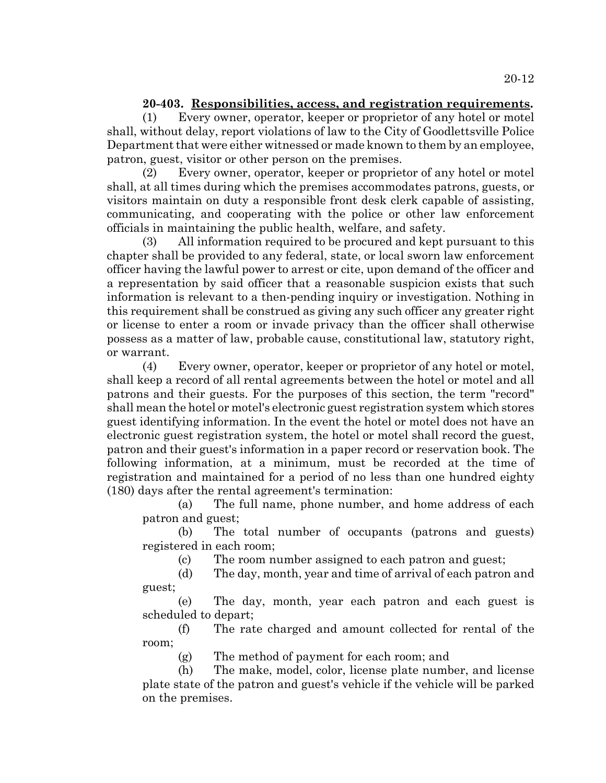# **20-403. Responsibilities, access, and registration requirements.**

(1) Every owner, operator, keeper or proprietor of any hotel or motel shall, without delay, report violations of law to the City of Goodlettsville Police Department that were either witnessed or made known to them by an employee, patron, guest, visitor or other person on the premises.

(2) Every owner, operator, keeper or proprietor of any hotel or motel shall, at all times during which the premises accommodates patrons, guests, or visitors maintain on duty a responsible front desk clerk capable of assisting, communicating, and cooperating with the police or other law enforcement officials in maintaining the public health, welfare, and safety.

(3) All information required to be procured and kept pursuant to this chapter shall be provided to any federal, state, or local sworn law enforcement officer having the lawful power to arrest or cite, upon demand of the officer and a representation by said officer that a reasonable suspicion exists that such information is relevant to a then-pending inquiry or investigation. Nothing in this requirement shall be construed as giving any such officer any greater right or license to enter a room or invade privacy than the officer shall otherwise possess as a matter of law, probable cause, constitutional law, statutory right, or warrant.

(4) Every owner, operator, keeper or proprietor of any hotel or motel, shall keep a record of all rental agreements between the hotel or motel and all patrons and their guests. For the purposes of this section, the term "record" shall mean the hotel or motel's electronic guest registration system which stores guest identifying information. In the event the hotel or motel does not have an electronic guest registration system, the hotel or motel shall record the guest, patron and their guest's information in a paper record or reservation book. The following information, at a minimum, must be recorded at the time of registration and maintained for a period of no less than one hundred eighty (180) days after the rental agreement's termination:

(a) The full name, phone number, and home address of each patron and guest;

(b) The total number of occupants (patrons and guests) registered in each room;

(c) The room number assigned to each patron and guest;

(d) The day, month, year and time of arrival of each patron and guest;

(e) The day, month, year each patron and each guest is scheduled to depart;

(f) The rate charged and amount collected for rental of the room;

(g) The method of payment for each room; and

(h) The make, model, color, license plate number, and license plate state of the patron and guest's vehicle if the vehicle will be parked on the premises.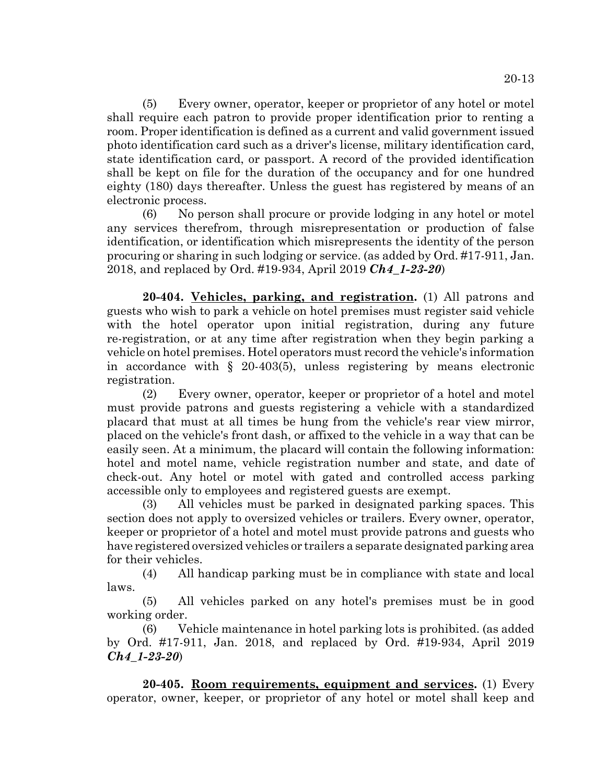(5) Every owner, operator, keeper or proprietor of any hotel or motel shall require each patron to provide proper identification prior to renting a room. Proper identification is defined as a current and valid government issued photo identification card such as a driver's license, military identification card, state identification card, or passport. A record of the provided identification shall be kept on file for the duration of the occupancy and for one hundred

electronic process. (6) No person shall procure or provide lodging in any hotel or motel any services therefrom, through misrepresentation or production of false identification, or identification which misrepresents the identity of the person procuring or sharing in such lodging or service. (as added by Ord. #17-911, Jan. 2018, and replaced by Ord. #19-934, April 2019 *Ch4\_1-23-20*)

eighty (180) days thereafter. Unless the guest has registered by means of an

**20-404. Vehicles, parking, and registration.** (1) All patrons and guests who wish to park a vehicle on hotel premises must register said vehicle with the hotel operator upon initial registration, during any future re-registration, or at any time after registration when they begin parking a vehicle on hotel premises. Hotel operators must record the vehicle's information in accordance with  $\S$  20-403(5), unless registering by means electronic registration.

(2) Every owner, operator, keeper or proprietor of a hotel and motel must provide patrons and guests registering a vehicle with a standardized placard that must at all times be hung from the vehicle's rear view mirror, placed on the vehicle's front dash, or affixed to the vehicle in a way that can be easily seen. At a minimum, the placard will contain the following information: hotel and motel name, vehicle registration number and state, and date of check-out. Any hotel or motel with gated and controlled access parking accessible only to employees and registered guests are exempt.

(3) All vehicles must be parked in designated parking spaces. This section does not apply to oversized vehicles or trailers. Every owner, operator, keeper or proprietor of a hotel and motel must provide patrons and guests who have registered oversized vehicles or trailers a separate designated parking area for their vehicles.

(4) All handicap parking must be in compliance with state and local laws.

(5) All vehicles parked on any hotel's premises must be in good working order.

(6) Vehicle maintenance in hotel parking lots is prohibited. (as added by Ord. #17-911, Jan. 2018, and replaced by Ord. #19-934, April 2019 *Ch4\_1-23-20*)

**20-405. Room requirements, equipment and services.** (1) Every operator, owner, keeper, or proprietor of any hotel or motel shall keep and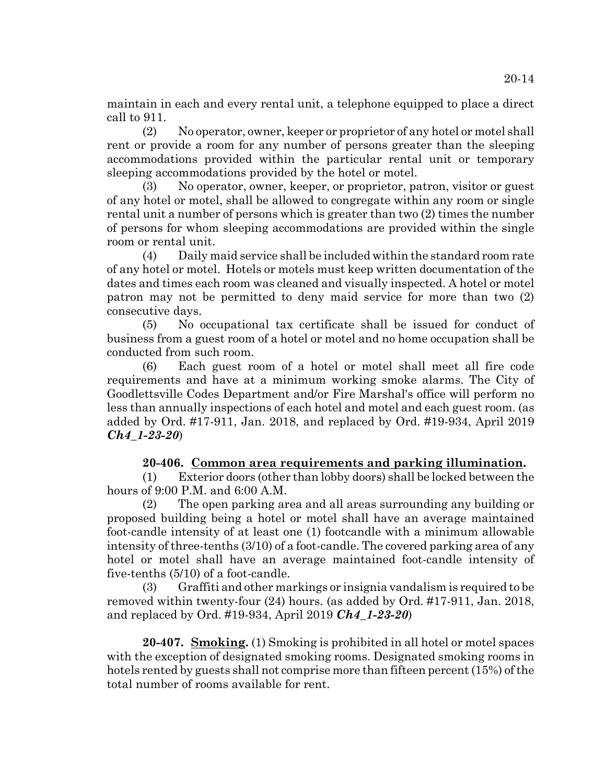maintain in each and every rental unit, a telephone equipped to place a direct call to 911.

(2) No operator, owner, keeper or proprietor of any hotel or motel shall rent or provide a room for any number of persons greater than the sleeping accommodations provided within the particular rental unit or temporary sleeping accommodations provided by the hotel or motel.

(3) No operator, owner, keeper, or proprietor, patron, visitor or guest of any hotel or motel, shall be allowed to congregate within any room or single rental unit a number of persons which is greater than two (2) times the number of persons for whom sleeping accommodations are provided within the single room or rental unit.

(4) Daily maid service shall be included within the standard room rate of any hotel or motel. Hotels or motels must keep written documentation of the dates and times each room was cleaned and visually inspected. A hotel or motel patron may not be permitted to deny maid service for more than two (2) consecutive days.

(5) No occupational tax certificate shall be issued for conduct of business from a guest room of a hotel or motel and no home occupation shall be conducted from such room.

(6) Each guest room of a hotel or motel shall meet all fire code requirements and have at a minimum working smoke alarms. The City of Goodlettsville Codes Department and/or Fire Marshal's office will perform no less than annually inspections of each hotel and motel and each guest room. (as added by Ord. #17-911, Jan. 2018, and replaced by Ord. #19-934, April 2019 *Ch4\_1-23-20*)

# **20-406. Common area requirements and parking illumination.**

(1) Exterior doors (other than lobby doors) shall be locked between the hours of 9:00 P.M. and 6:00 A.M.

(2) The open parking area and all areas surrounding any building or proposed building being a hotel or motel shall have an average maintained foot-candle intensity of at least one (1) footcandle with a minimum allowable intensity of three-tenths (3/10) of a foot-candle. The covered parking area of any hotel or motel shall have an average maintained foot-candle intensity of five-tenths (5/10) of a foot-candle.

(3) Graffiti and other markings or insignia vandalism is required to be removed within twenty-four (24) hours. (as added by Ord. #17-911, Jan. 2018, and replaced by Ord. #19-934, April 2019 *Ch4\_1-23-20*)

**20-407. Smoking.** (1) Smoking is prohibited in all hotel or motel spaces with the exception of designated smoking rooms. Designated smoking rooms in hotels rented by guests shall not comprise more than fifteen percent (15%) of the total number of rooms available for rent.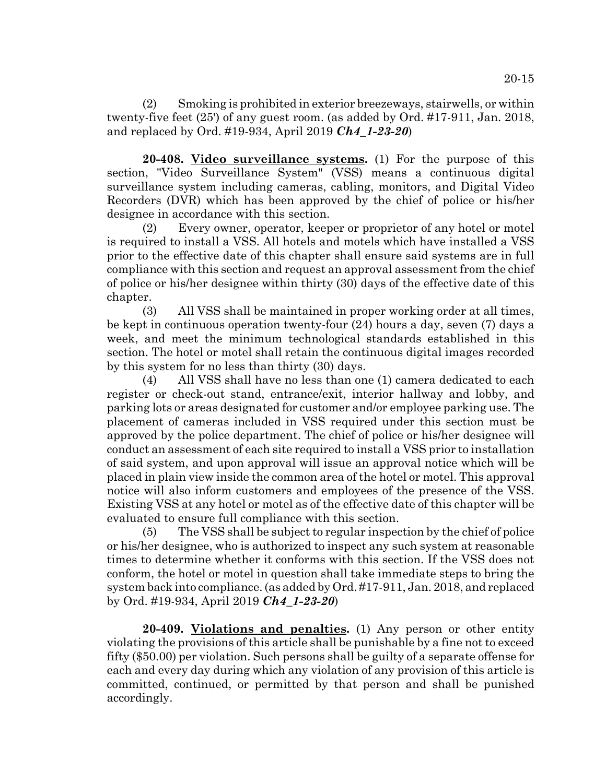(2) Smoking is prohibited in exterior breezeways, stairwells, or within twenty-five feet (25') of any guest room. (as added by Ord. #17-911, Jan. 2018, and replaced by Ord. #19-934, April 2019 *Ch4\_1-23-20*)

**20-408. Video surveillance systems.** (1) For the purpose of this section, "Video Surveillance System" (VSS) means a continuous digital surveillance system including cameras, cabling, monitors, and Digital Video Recorders (DVR) which has been approved by the chief of police or his/her designee in accordance with this section.

(2) Every owner, operator, keeper or proprietor of any hotel or motel is required to install a VSS. All hotels and motels which have installed a VSS prior to the effective date of this chapter shall ensure said systems are in full compliance with this section and request an approval assessment from the chief of police or his/her designee within thirty (30) days of the effective date of this chapter.

(3) All VSS shall be maintained in proper working order at all times, be kept in continuous operation twenty-four (24) hours a day, seven (7) days a week, and meet the minimum technological standards established in this section. The hotel or motel shall retain the continuous digital images recorded by this system for no less than thirty (30) days.

(4) All VSS shall have no less than one (1) camera dedicated to each register or check-out stand, entrance/exit, interior hallway and lobby, and parking lots or areas designated for customer and/or employee parking use. The placement of cameras included in VSS required under this section must be approved by the police department. The chief of police or his/her designee will conduct an assessment of each site required to install a VSS prior to installation of said system, and upon approval will issue an approval notice which will be placed in plain view inside the common area of the hotel or motel. This approval notice will also inform customers and employees of the presence of the VSS. Existing VSS at any hotel or motel as of the effective date of this chapter will be evaluated to ensure full compliance with this section.

(5) The VSS shall be subject to regular inspection by the chief of police or his/her designee, who is authorized to inspect any such system at reasonable times to determine whether it conforms with this section. If the VSS does not conform, the hotel or motel in question shall take immediate steps to bring the system back into compliance. (as added by Ord. #17-911, Jan. 2018, and replaced by Ord. #19-934, April 2019 *Ch4\_1-23-20*)

**20-409. Violations and penalties.** (1) Any person or other entity violating the provisions of this article shall be punishable by a fine not to exceed fifty (\$50.00) per violation. Such persons shall be guilty of a separate offense for each and every day during which any violation of any provision of this article is committed, continued, or permitted by that person and shall be punished accordingly.